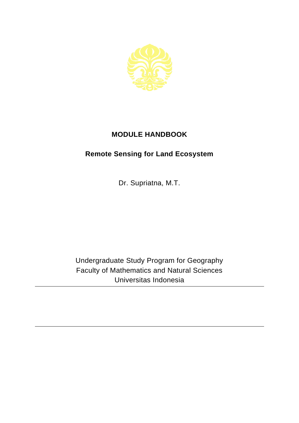

## **MODULE HANDBOOK**

## **Remote Sensing for Land Ecosystem**

Dr. Supriatna, M.T.

Undergraduate Study Program for Geography Faculty of Mathematics and Natural Sciences Universitas Indonesia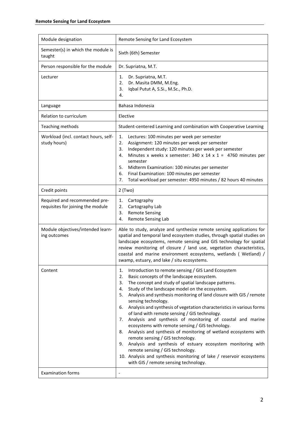| Module designation                                                 | Remote Sensing for Land Ecosystem                                                                                                                                                                                                                                                                                                                                                                                                                                                                                                                                                                                                                                                                                                                                                                                                                                                                                                   |
|--------------------------------------------------------------------|-------------------------------------------------------------------------------------------------------------------------------------------------------------------------------------------------------------------------------------------------------------------------------------------------------------------------------------------------------------------------------------------------------------------------------------------------------------------------------------------------------------------------------------------------------------------------------------------------------------------------------------------------------------------------------------------------------------------------------------------------------------------------------------------------------------------------------------------------------------------------------------------------------------------------------------|
| Semester(s) in which the module is<br>taught                       | Sixth (6th) Semester                                                                                                                                                                                                                                                                                                                                                                                                                                                                                                                                                                                                                                                                                                                                                                                                                                                                                                                |
| Person responsible for the module                                  | Dr. Supriatna, M.T.                                                                                                                                                                                                                                                                                                                                                                                                                                                                                                                                                                                                                                                                                                                                                                                                                                                                                                                 |
| Lecturer                                                           | Dr. Supriatna, M.T.<br>1.<br>Dr. Masita DMM, M.Eng.<br>2.<br>Iqbal Putut A, S.Si., M.Sc., Ph.D.<br>3.<br>4.                                                                                                                                                                                                                                                                                                                                                                                                                                                                                                                                                                                                                                                                                                                                                                                                                         |
| Language                                                           | Bahasa Indonesia                                                                                                                                                                                                                                                                                                                                                                                                                                                                                                                                                                                                                                                                                                                                                                                                                                                                                                                    |
| Relation to curriculum                                             | Elective                                                                                                                                                                                                                                                                                                                                                                                                                                                                                                                                                                                                                                                                                                                                                                                                                                                                                                                            |
| Teaching methods                                                   | Student-centered Learning and combination with Cooperative Learning                                                                                                                                                                                                                                                                                                                                                                                                                                                                                                                                                                                                                                                                                                                                                                                                                                                                 |
| Workload (incl. contact hours, self-<br>study hours)               | 1.<br>Lectures: 100 minutes per week per semester<br>Assignment: 120 minutes per week per semester<br>2.<br>Independent study: 120 minutes per week per semester<br>3.<br>Minutes x weeks x semester: 340 x 14 x 1 = 4760 minutes per<br>4.<br>semester<br>5.<br>Midterm Examination: 100 minutes per semester<br>6.<br>Final Examination: 100 minutes per semester<br>Total workload per semester: 4950 minutes / 82 hours 40 minutes<br>7.                                                                                                                                                                                                                                                                                                                                                                                                                                                                                        |
| Credit points                                                      | $2$ (Two)                                                                                                                                                                                                                                                                                                                                                                                                                                                                                                                                                                                                                                                                                                                                                                                                                                                                                                                           |
| Required and recommended pre-<br>requisites for joining the module | Cartography<br>1.<br>2.<br>Cartography Lab<br><b>Remote Sensing</b><br>3.<br>Remote Sensing Lab<br>4.                                                                                                                                                                                                                                                                                                                                                                                                                                                                                                                                                                                                                                                                                                                                                                                                                               |
| Module objectives/intended learn-<br>ing outcomes                  | Able to study, analyze and synthesize remote sensing applications for<br>spatial and temporal land ecosystem studies, through spatial studies on<br>landscape ecosystems, remote sensing and GIS technology for spatial<br>review monitoring of closure / land use, vegetation characteristics,<br>coastal and marine environment ecosystems, wetlands ( Wetland) /<br>swamp, estuary, and lake / situ ecosystems.                                                                                                                                                                                                                                                                                                                                                                                                                                                                                                                  |
| Content                                                            | Introduction to remote sensing / GIS Land Ecosystem<br>1.<br>Basic concepts of the landscape ecosystem.<br>2.<br>The concept and study of spatial landscape patterns.<br>3.<br>Study of the landscape model on the ecosystem.<br>4.<br>Analysis and synthesis monitoring of land closure with GIS / remote<br>5.<br>sensing technology.<br>Analysis and synthesis of vegetation characteristics in various forms<br>6.<br>of land with remote sensing / GIS technology.<br>7. Analysis and synthesis of monitoring of coastal and marine<br>ecosystems with remote sensing / GIS technology.<br>Analysis and synthesis of monitoring of wetland ecosystems with<br>8.<br>remote sensing / GIS technology.<br>Analysis and synthesis of estuary ecosystem monitoring with<br>9.<br>remote sensing / GIS technology.<br>10. Analysis and synthesis monitoring of lake / reservoir ecosystems<br>with GIS / remote sensing technology. |
| <b>Examination forms</b>                                           |                                                                                                                                                                                                                                                                                                                                                                                                                                                                                                                                                                                                                                                                                                                                                                                                                                                                                                                                     |